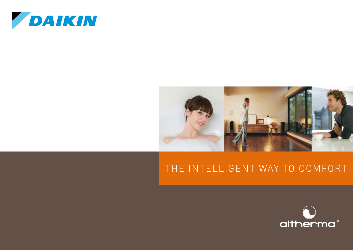



### the intelligent way to comfort

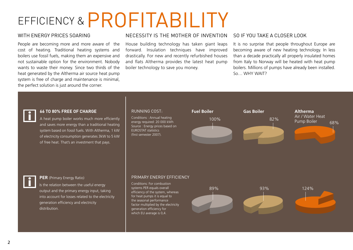# EFFICIENCY & PROFITABILITY

#### WITH ENERGY PRICES SOARING

People are becoming more and more aware of the cost of heating. Traditional heating systems and boilers use fossil fuels, making them an expensive and not sustainable option for the environment. Nobody wants to waste their money. Since two thirds of the heat generated by the Altherma air source heat pump system is free of charge and maintenance is minimal, the perfect solution is just around the corner.

#### NECESSITY IS THE MOTHER OF INVENTION

House building technology has taken giant leaps forward. Insulation techniques have improved drastically. For new and recently refurbished houses and flats Altherma provides the latest heat pump boiler technology to save you money.

#### SO IF YOU TAKE A CLOSER LOOK

It is no surprise that people throughout Europe are becoming aware of new heating technology. In less than a decade practically all properly insulated homes from Italy to Norway will be heated with heat pump boilers. Millions of pumps have already been installed. So… WHY WAIT?



#### **66 TO 80% free OF CHARGE**

A heat pump boiler works much more efficiently and saves more energy than a traditional heating system based on fossil fuels. With Altherma, 1 kW of electricity consumption generates 3kW to 5 kW of free heat. That's an investment that pays.

#### Running Cost:

Conditions : Annual heating energy required: 20 000 kWh Source : Energy prices based on EUROSTAT statistics (first semester 2007).





#### **PER** (Primary Energy Ratio)

Is the relation between the useful energy output and the primary energy input, taking into account for losses related to the electricity generation efficiency and electricity distribution.

#### Primary energy EFFICIENCY

Conditions: For combustion systems PER equals overall efficiency of the system, whereas for heat pumps it is equal to the seasonal performance factor multiplied by the electricity generation efficiency for which EU average is 0,4.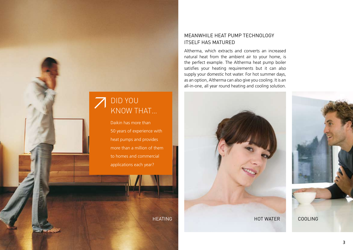

Daikin has more than 50 years of experience with heat pumps and provides more than a million of them to homes and commercial applications each year?

#### MEANWHILE HEAT PUMP TECHNOLOGY ITSELF HAS MATURED

Altherma, which extracts and converts an increased natural heat from the ambient air to your home, is the perfect example. The Altherma heat pump boiler satisfies your heating requirements but it can also supply your domestic hot water. For hot summer days, as an option, Altherma can also give you cooling. It is an all-in-one, all year round heating and cooling solution.

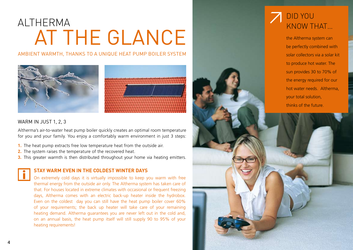## Altherma At the glance

Ambient warmth, thanks to a unique heat pump boiler system





#### WARM IN JUST 1, 2, 3

Altherma's air-to-water heat pump boiler quickly creates an optimal room temperature for you and your family. You enjoy a comfortably warm environment in just 3 steps:

- **1.** The heat pump extracts free low temperature heat from the outside air.
- **2.** The system raises the temperature of the recovered heat.
- **3.** This greater warmth is then distributed throughout your home via heating emitters.

#### **STAY WARM EVEN in the coldest winter days**

On extremely cold days it is virtually impossible to keep you warm with free thermal energy from the outside air only. The Altherma system has taken care of that. For houses located in extreme climates with occasional or frequent freezing days, Altherma comes with an electric back-up heater inside the hydrobox. Even on the coldest day you can still have the heat pump boiler cover 60% of your requirements; the back up heater will take care of your remaining heating demand. Altherma guarantees you are never left out in the cold and, on an annual basis, the heat pump itself will still supply 90 to 95% of your heating requirements!



the Altherma system can be perfectly combined with solar collectors via a solar kit to produce hot water. The sun provides 30 to 70% of the energy required for our hot water needs. Altherma, your total solution, thinks of the future.

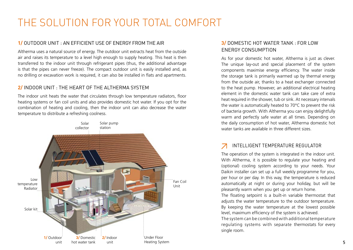## the solution for your total comfort

#### **1/** Outdoor Unit : an efficient use of energy from the air

Altherma uses a natural source of energy. The outdoor unit extracts heat from the outside air and raises its temperature to a level high enough to supply heating. This heat is then transferred to the indoor unit through refrigerant pipes (thus, the additional advantage is that the pipes can never freeze). The compact outdoor unit is easily installed and, as no drilling or excavation work is required, it can also be installed in flats and apartments.

#### **2/** Indoor unit : the heart of the Altherma system

The indoor unit heats the water that circulates through low temperature radiators, floor heating systems or fan coil units and also provides domestic hot water. If you opt for the combination of heating and cooling, then the indoor unit can also decrease the water temperature to distribute a refreshing coolness.



#### **3/** Domestic hot water tank : for low energy consumption

As for your domestic hot water, Altherma is just as clever. The unique lay-out and special placement of the system components maximise energy efficiency. The water inside the storage tank is primarily warmed up by thermal energy from the outside air, thanks to a heat exchanger connected to the heat pump. However, an additional electrical heating element in the domestic water tank can take care of extra heat required in the shower, tub or sink. At necessary intervals the water is automatically heated to 70°C to prevent the risk of bacteria growth. With Altherma you can enjoy delightfully warm and perfectly safe water at all times. Depending on the daily consumption of hot water, Altherma domestic hot water tanks are available in three different sizes.

#### intelligent temperature regulator

The operation of the system is integrated in the indoor unit. With Altherma, it is possible to regulate your heating and (optional) cooling system according to your needs. Your Daikin installer can set up a full weekly programme for you, per hour or per day. In this way, the temperature is reduced automatically at night or during your holiday, but will be pleasantly warm when you get up or return home.

The floating setpoint is a built-in variable thermostat that adjusts the water temperature to the outdoor temperature. By keeping the water temperature at the lowest possible level, maximum efficiency of the system is achieved.

The system can be combined with additional temperature regulating systems with separate thermostats for every single room.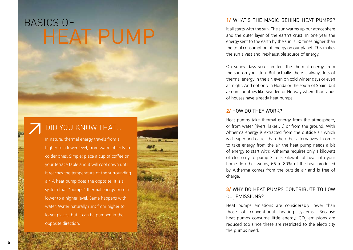## Basics of **HEAT PUMP**

### Did you know that…

In nature, thermal energy travels from a higher to a lower level, from warm objects to colder ones. Simple: place a cup of coffee on your terrace table and it will cool down until it reaches the temperature of the surrounding air. A heat pump does the opposite. It is a system that "pumps" thermal energy from a lower to a higher level. Same happens with water. Water naturally runs from higher to lower places, but it can be pumped in the opposite direction.

#### **1/** What's the magic behind heat pumps?

It all starts with the sun. The sun warms up our atmosphere and the outer layer of the earth's crust. In one year the energy sent to the earth by the sun is 50 times higher than the total consumption of energy on our planet. This makes the sun a vast and inexhaustible source of energy.

On sunny days you can feel the thermal energy from the sun on your skin. But actually, there is always lots of thermal energy in the air, even on cold winter days or even at night. And not only in Florida or the south of Spain, but also in countries like Sweden or Norway where thousands of houses have already heat pumps.

#### **2/** How do they work?

Heat pumps take thermal energy from the atmosphere, or from water (rivers, lakes,…) or from the ground. With Altherma energy is extracted from the outside air which is cheaper and easier than the other alternatives. In order to take energy from the air the heat pump needs a bit of energy to start with: Altherma requires only 1 kilowatt of electricity to pump 3 to 5 kilowatt of heat into your home. In other words, 66 to 80% of the heat produced by Altherma comes from the outside air and is free of charge.

#### **3/** Why do heat pumps contribute to low CO<sub>2</sub> EMISSIONS?

Heat pumps emissions are considerably lower than those of conventional heating systems. Because heat pumps consume little energy,  $CO<sub>2</sub>$  emissions are reduced too since these are restricted to the electricity the pumps need.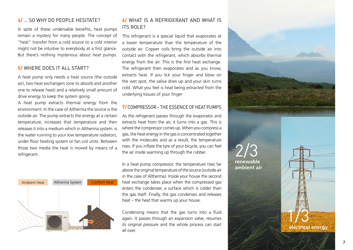#### **4/** … so why do people hesitate?

In spite of these undeniable benefits, heat pumps remain a mystery for many people. The concept of "heat" transfer from a cold source to a cold interior might not be intuitive to everybody at a first glance. But there's nothing mysterious about heat pumps.

#### **5/** Where does it all start?

A heat pump only needs a heat source (the outside air), two heat exchangers (one to absorb and another one to release heat) and a relatively small amount of drive energy to keep the system going.

A heat pump extracts thermal energy from the environment. In the case of Altherma the source is the outside air. The pump extracts the energy at a certain temperature, increases that temperature and then releases it into a medium which in Altherma system is the water running to your low temperature radiators, under floor heating system or fan coil units. Between those two media the heat is moved by means of a refrigerant.



#### **6/** What is a REFRIGERANT and what is its role?

This refrigerant is a special liquid that evaporates at a lower temperature than the temperature of the outside air. Copper coils bring the outside air into contact with the refrigerant, which absorbs thermal energy from the air. This is the first heat exchange. The refrigerant then evaporates and as you know, extracts heat. If you lick your finger and blow on the wet spot, the saliva dries up and your skin turns cold. What you feel is heat being extracted from the underlying tissues of your finger

#### **7/** COMPRESSOR – THE ESSENCE OF HEAT PUMPS

As the refrigerant passes through the evaporator and extracts heat from the air, it turns into a gas. This is where the compressor comes up. When you compress a gas, the heat energy in the gas is concentrated together with the molecules and as a result, the temperature rises. If you inflate the tyre of your bicycle, you can feel the air inside warming up through the rubber.

In a heat pump compressor, the temperature rises far above the original temperature of the source (outside air in the case of Altherma). Inside your house the second heat exchange takes place when the compressed gas enters the condenser, a surface which is colder than the gas itself. Finally, the gas condenses and releases heat – the heat that warms up your house.

Condensing means that the gas turns into a fluid again. It passes through an expansion valve, resumes its original pressure and the whole process can start all over **electrical energy**<br>all over



**renewable ambient air**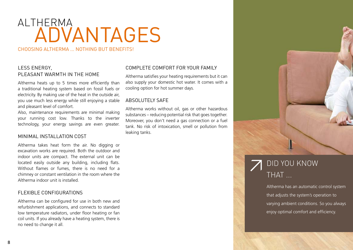## ALTHE<u>RMA</u> Advantages

CHOOSING ALTHERMA ... NOTHING BUT BENEFITS!

#### LESS ENERGY, PLEASANT WARMTH IN THE HOME

Altherma heats up to 5 times more efficiently than a traditional heating system based on fossil fuels or electricity. By making use of the heat in the outside air, you use much less energy while still enjoying a stable and pleasant level of comfort.

Also, maintenance requirements are minimal making your running cost low. Thanks to the inverter technology, your energy savings are even greater.

#### MINIMAL INSTALLATION COST

Altherma takes heat form the air. No digging or excavation works are required. Both the outdoor and indoor units are compact. The external unit can be located easily outside any building, including flats. Without flames or fumes, there is no need for a chimney or constant ventilation in the room where the Altherma indoor unit is installed.

#### FLEXIBLE CONFIGURATIONS

Altherma can be configured for use in both new and refurbishment applications, and connects to standard low temperature radiators, under floor heating or fan coil units. If you already have a heating system, there is no need to change it all.

#### complete COMFORT FOR YOUR FAMILY

Altherma satisfies your heating requirements but it can also supply your domestic hot water. It comes with a cooling option for hot summer days.

#### ABSOLUTELY SAFE

Altherma works without oil, gas or other hazardous substances – reducing potential risk that goes together. Moreover, you don't need a gas connection or a fuel tank. No risk of intoxication, smell or pollution from leaking tanks.



### Did you know THAT ...

Altherma has an automatic control system that adjusts the system's operation to varying ambient conditions. So you always enjoy optimal comfort and efficiency.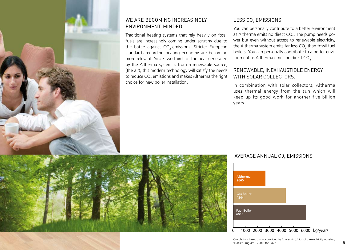

#### WE ARE BECOMING INCREASINGLY ENVIRONMENT-MINDED

Traditional heating systems that rely heavily on fossil fuels are increasingly coming under scrutiny due to the battle against CO<sub>2</sub>-emissions. Stricter European standards regarding heating economy are becoming more relevant. Since two thirds of the heat generated by the Altherma system is from a renewable source, (the air), this modern technology will satisfy the needs to reduce CO $_{\textrm{\tiny{2}}}$  emissions and makes Altherma the right choice for new boiler installation.

#### LESS CO $_{\textrm{2}}$  EMIS

You can personally contribute to a better environment as Altherma emits no direct  $CO_{2}$ . The pump needs power but even without access to renewable electricity, the Altherma system emits far less CO<sub>2</sub> than fossil fuel boilers. You can personally contribute to a better environment as Altherma emits no direct  $CO_{2}$ .

#### RENEWABLE, INEXHAUSTIBLE ENERGY with solar collectors.

In combination with solar collectors, Altherma uses thermal energy from the sun which will keep up its good work for another five billion years.



#### AVERAGE ANNUAL CO<sub>2</sub> EMISSIONS



Calculations based on data provided by Eurelectric (Union of the electricity industry), Eurelec Program - 2001' for EU27 **9**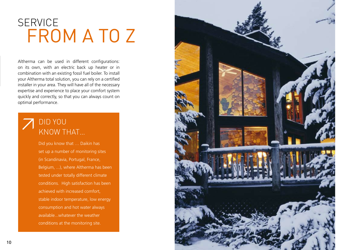## **SERVICE** FROM A TO Z

Altherma can be used in different configurations: on its own, with an electric back up heater or in combination with an existing fossil fuel boiler. To install your Altherma total solution, you can rely on a certified installer in your area. They will have all of the necessary expertise and experience to place your comfort system quickly and correctly, so that you can always count on optimal performance.

### Did you know that…

Did you know that … Daikin has set up a number of monitoring sites (in Scandinavia, Portugal, France, Belgium, ...), where Altherma has been tested under totally different climate conditions. High satisfaction has been achieved with increased comfort, stable indoor temperature, low energy consumption and hot water always available...whatever the weather conditions at the monitoring site.

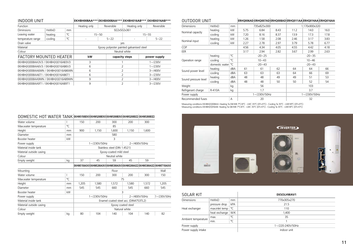| <b>INDOOR UNIT</b>                  |              |               |              | EKHBH008AA*** EKHBX008AA*** EKHBH016AB*** |                          | <b>EKHBX016AB***</b> |
|-------------------------------------|--------------|---------------|--------------|-------------------------------------------|--------------------------|----------------------|
| Function                            |              |               | Heating only | Reversible                                | Heating only             | Reversible           |
| Diminsions                          | <b>HxWxD</b> | <sub>mm</sub> |              | 922x502x361                               |                          |                      |
| Leaving water                       | heating      | °C            |              | $15 - 50$                                 |                          | $15 - 55$            |
| temperature range                   | cooling      | °C            | ٠            | $5 - 22$                                  |                          | $5 - 22$             |
| Drain valve                         |              |               |              |                                           | ves                      |                      |
| Material                            |              |               |              | Epoxy polyester painted galvanised steel  |                          |                      |
| Colour                              |              |               |              |                                           | Neutral white            |                      |
| FACTORY MOUNTED HEATER              |              |               | kW           |                                           | capacity steps           | power supply         |
| EKHBH(X)008AA3V3 / EKHBH(X)016AB3V3 |              |               | 3            |                                           |                          | $1 - 230V$           |
| EKHBH(X)008AA6V3 / EKHBH(X)016AB6V3 |              |               | 6            |                                           | $\overline{\phantom{a}}$ | $1 - 230V$           |
| EKHBH(X)008AA6WN / EKHBH(X)016AB6WN |              |               | 6            |                                           | 2                        | $3 - 400V$           |
| EKHBH(X)008AA6T1 / EKHBH(X)016AB6T1 |              |               | 6            |                                           | $\overline{\phantom{a}}$ | $3 - 7230V$          |
| EKHBH(X)008AA9WN / EKHBH(X)016AB9WN |              |               | 9            |                                           | $\overline{2}$           | $3 - 400V$           |
| EKHBH(X)008AA9T1 / EKHBH(X)016AB9T1 |              |               | 9            |                                           | $\overline{\phantom{a}}$ | $3 - 7230V$          |

| OUTDOOR UNIT         |                |     |      |              | ERHQ006AD ERHQ007AD ERHQ008AD ERHQ011AA ERHQ014AA ERHQ016AA |      |               |      |
|----------------------|----------------|-----|------|--------------|-------------------------------------------------------------|------|---------------|------|
| <b>Dimensions</b>    | <b>HxWxD</b>   | mm  |      | 735x825x300  |                                                             |      | 1.170x900x320 |      |
|                      | heating        | kW  | 5.75 | 6.84         | 8.43                                                        | 11.2 | 14.0          | 16.0 |
| Nominal capacity     | cooling        | kW  | 7.20 | 8.16         | 8.37                                                        | 13.9 | 17.3          | 17.8 |
|                      | heating        | kW  | 1.26 | 1.58         | 2.08                                                        | 2.46 | 3.17          | 3.83 |
| Nominal input        | cooling        | kW  | 2.27 | 2.78         | 2.97                                                        | 3.79 | 5.78          | 6.77 |
| COP                  |                |     | 4.56 | 4.34         | 4.05                                                        | 4.55 | 4.42          | 4.18 |
| EER                  |                |     | 3.17 | 2.94         | 2.82                                                        | 3.67 | 2.99          | 2.63 |
|                      | heating        | °C  |      | $-20-25$     |                                                             |      | $-20 - 35$    |      |
| Operation range      | cooling        | °C  |      | $10 - 43$    |                                                             |      | $10 - 46$     |      |
|                      | domestic water | °C  |      | $-20 - 43$   |                                                             |      | $-20 - 43$    |      |
|                      | heating        | dBA | 61   | 61           | 62                                                          | 64   | 64            | 66   |
| Sound power level    | cooling        | dBA | 63   | 63           | 63                                                          | 64   | 66            | 69   |
|                      | heating        | dBA | 48   | 48           | 49                                                          | 49   | 51            | 53   |
| Sound pressure level | cooling        | dBA | 48   | 48           | 50                                                          | 50   | 52            | 54   |
| Weight               |                | kg  |      | 56           |                                                             |      | 103           |      |
| Refrigerant charge   | R-410A         | kg  |      | 1.7          |                                                             |      | 3.7           |      |
| Power supply         |                |     |      | 1~/230V/50Hz |                                                             |      | 1~/230V/50Hz  |      |
| Recommended fuses    |                | A   |      | 20           |                                                             |      | 32            |      |

Measuring conditions EKHBH(X)008AA: Heating Ta DB/WB 7°C/6°C - LWC 35°C (DT=5°C) - Cooling Ta 35°C - LWE18°C (DT=5°C)<br>Measuring conditions EKHBH(X)016AB: Heating Ta DB/WB 7°C/6°C - LWC 35°C (DT=5°C) - Cooling Ta 35°C - LWE



| SOLAR KIT           |                |     | <b>EKSOLHWAV1</b> |
|---------------------|----------------|-----|-------------------|
| <b>Dimensions</b>   | <b>HxWxD</b>   | mm  | 770x305x270       |
|                     | pressure drop  | kPA | 21.5              |
| Heat exchanger      | max.inlet temp | °C  | 110               |
|                     | heat exchange  | W/K | 1,400             |
|                     | max.           | °C  | 35                |
| Ambient temperature | min.           | °C  |                   |
| Power supply        |                |     | 1~/220-240V/50Hz  |
| Power supply intake |                |     | indoor unit       |

#### DOMESTIC HOT WATER TANK **EKHWS150B3V3 EKHWS200B3V3 EKHWS300B3V3 EKHWS200B3Z2 EKHWS300B3Z2**

| Water volume            |    | 150   | 200              | 300                          | 200                                   | 300             |                                                                                 |
|-------------------------|----|-------|------------------|------------------------------|---------------------------------------|-----------------|---------------------------------------------------------------------------------|
| Max.water temperature   | °C |       |                  | 85                           |                                       |                 |                                                                                 |
| Height                  | mm | 900   | 1.150            | 1,600                        | 1.150                                 | 1.600           |                                                                                 |
| Diameter                | mm |       |                  | 580                          |                                       |                 |                                                                                 |
| Booster heater          | kW |       |                  | 3                            |                                       |                 |                                                                                 |
| Power supply            |    |       | 1~/230V/50Hz     |                              |                                       | 2~/400V/50Hz    |                                                                                 |
| Material inside tank    |    |       |                  | Stainless steel (DIN 1.4521) |                                       |                 |                                                                                 |
| Material outside casing |    |       |                  | Epoxy-coated mild steel      |                                       |                 |                                                                                 |
| Colour                  |    |       |                  | Neutral white                |                                       |                 |                                                                                 |
| Empty weight            | kg | 37    | 45               | 59                           | 45                                    | 59              |                                                                                 |
|                         |    |       |                  |                              |                                       |                 | lekhwe150A3V3lekhwe200A3V3lekhwe300A3V3lekhwe200A3Z2lekhwe300A3Z2lekhweT150A3V3 |
| Mounting                |    |       |                  | Floor                        |                                       |                 | Wall                                                                            |
| Water volume            |    | 150   | 200              | 300                          | 200                                   | 300             | 150                                                                             |
| Max.water temperature   | °C |       |                  |                              | 75                                    |                 |                                                                                 |
| Height                  | mm | 1,205 | 1,580            | 1,572                        | 1,580                                 | 1,572           | 1,205                                                                           |
| Diameter                | mm | 545   | 545              | 660                          | 545                                   | 660             | 545                                                                             |
| Booster heater          | kW |       |                  |                              | 3                                     |                 |                                                                                 |
| Power supply            |    |       | $1 - 7230V/50Hz$ |                              |                                       | $2 - 400V/50Hz$ | 1~/230V/50Hz                                                                    |
| Material inside tank    |    |       |                  |                              | Enamel coated steel acc. (DIN4753TL2) |                 |                                                                                 |
| Material outside casing |    |       |                  |                              | Epoxy coated steel                    |                 |                                                                                 |

Empty weight kg 80 104 140 104 140 82

Colour **Natural white** Natural white